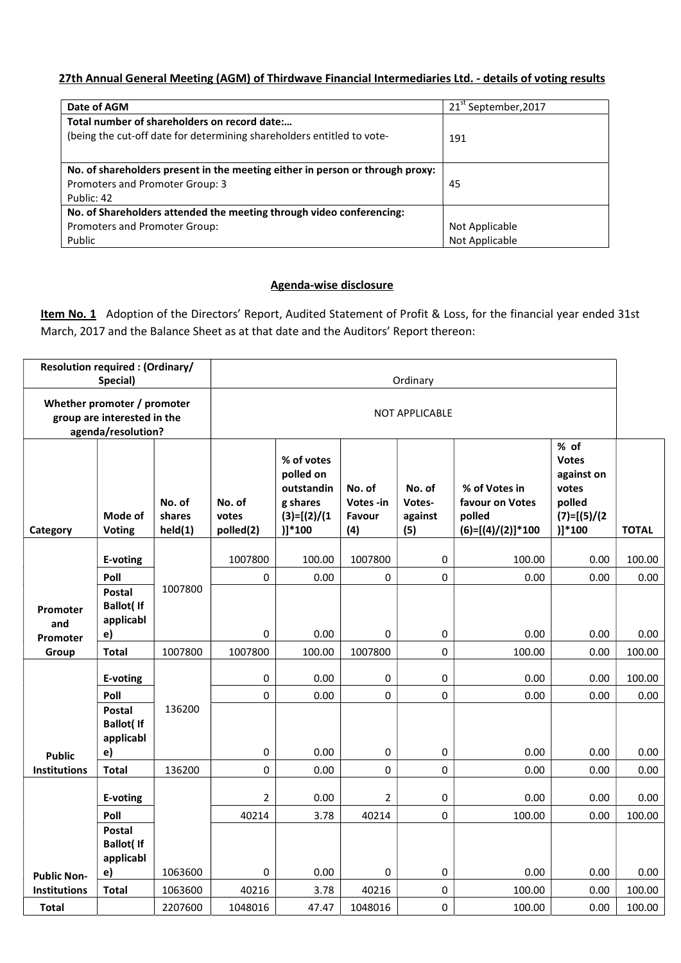## 27th Annual General Meeting (AGM) of Thirdwave Financial Intermediaries Ltd. - details of voting results

| Date of AGM                                                                   | 21 <sup>st</sup> September, 2017 |
|-------------------------------------------------------------------------------|----------------------------------|
| Total number of shareholders on record date:                                  |                                  |
| (being the cut-off date for determining shareholders entitled to vote-        | 191                              |
|                                                                               |                                  |
| No. of shareholders present in the meeting either in person or through proxy: |                                  |
| Promoters and Promoter Group: 3                                               | 45                               |
| Public: 42                                                                    |                                  |
| No. of Shareholders attended the meeting through video conferencing:          |                                  |
| Promoters and Promoter Group:                                                 | Not Applicable                   |
| Public                                                                        | Not Applicable                   |

## Agenda-wise disclosure

Item No. 1 Adoption of the Directors' Report, Audited Statement of Profit & Loss, for the financial year ended 31st March, 2017 and the Balance Sheet as at that date and the Auditors' Report thereon:

|                                                                                  | <b>Resolution required: (Ordinary/</b><br>Special)   |                             | Ordinary                     |                                                                               |                                     |                                    |                                                                   |                                                                                     |                  |
|----------------------------------------------------------------------------------|------------------------------------------------------|-----------------------------|------------------------------|-------------------------------------------------------------------------------|-------------------------------------|------------------------------------|-------------------------------------------------------------------|-------------------------------------------------------------------------------------|------------------|
| Whether promoter / promoter<br>group are interested in the<br>agenda/resolution? |                                                      |                             | <b>NOT APPLICABLE</b>        |                                                                               |                                     |                                    |                                                                   |                                                                                     |                  |
| Category                                                                         | Mode of<br><b>Voting</b>                             | No. of<br>shares<br>held(1) | No. of<br>votes<br>polled(2) | % of votes<br>polled on<br>outstandin<br>g shares<br>$(3)=[(2)/(1)$<br>)]*100 | No. of<br>Votes-in<br>Favour<br>(4) | No. of<br>Votes-<br>against<br>(5) | % of Votes in<br>favour on Votes<br>polled<br>$(6)=[(4)/(2)]*100$ | % of<br><b>Votes</b><br>against on<br>votes<br>polled<br>$(7)=[(5)/(2)$<br>$)]*100$ | <b>TOTAL</b>     |
|                                                                                  | E-voting                                             |                             | 1007800                      | 100.00                                                                        | 1007800                             | $\mathbf 0$                        | 100.00                                                            | 0.00                                                                                | 100.00           |
|                                                                                  | Poll                                                 |                             | $\pmb{0}$                    | 0.00                                                                          | 0                                   | $\pmb{0}$                          | 0.00                                                              | 0.00                                                                                | 0.00             |
| Promoter<br>and<br>Promoter                                                      | Postal<br><b>Ballot</b> ( If<br>applicabl<br>e)      | 1007800                     | 0                            | 0.00                                                                          | $\pmb{0}$                           | 0                                  | 0.00                                                              | 0.00                                                                                | 0.00             |
| Group                                                                            | <b>Total</b>                                         | 1007800                     | 1007800                      | 100.00                                                                        | 1007800                             | $\mathbf 0$                        | 100.00                                                            | 0.00                                                                                | 100.00           |
|                                                                                  | E-voting                                             |                             | 0                            | 0.00                                                                          | 0                                   | 0                                  | 0.00                                                              | 0.00                                                                                | 100.00           |
|                                                                                  | Poll                                                 |                             | 0                            | 0.00                                                                          | $\mathbf 0$                         | 0                                  | 0.00                                                              | 0.00                                                                                | 0.00             |
| <b>Public</b>                                                                    | <b>Postal</b><br><b>Ballot(If</b><br>applicabl<br>e) | 136200                      | 0                            | 0.00                                                                          | $\pmb{0}$                           | 0                                  | 0.00                                                              | 0.00                                                                                | 0.00             |
| <b>Institutions</b>                                                              | <b>Total</b>                                         | 136200                      | 0                            | 0.00                                                                          | $\Omega$                            | 0                                  | 0.00                                                              | 0.00                                                                                | 0.00             |
|                                                                                  | E-voting                                             |                             | $\overline{2}$               | 0.00                                                                          | $\overline{2}$                      | 0                                  | 0.00                                                              | 0.00                                                                                | 0.00             |
|                                                                                  | Poll                                                 |                             | 40214                        | 3.78                                                                          | 40214                               | 0                                  | 100.00                                                            | 0.00                                                                                | 100.00           |
|                                                                                  | <b>Postal</b><br><b>Ballot(If</b><br>applicabl       |                             |                              |                                                                               |                                     |                                    |                                                                   |                                                                                     |                  |
| <b>Public Non-</b>                                                               | e)<br><b>Total</b>                                   | 1063600                     | 0                            | 0.00                                                                          | 0                                   | 0                                  | 0.00                                                              | 0.00                                                                                | 0.00             |
| <b>Institutions</b><br><b>Total</b>                                              |                                                      | 1063600<br>2207600          | 40216<br>1048016             | 3.78<br>47.47                                                                 | 40216<br>1048016                    | 0<br>0                             | 100.00<br>100.00                                                  | 0.00<br>0.00                                                                        | 100.00<br>100.00 |
|                                                                                  |                                                      |                             |                              |                                                                               |                                     |                                    |                                                                   |                                                                                     |                  |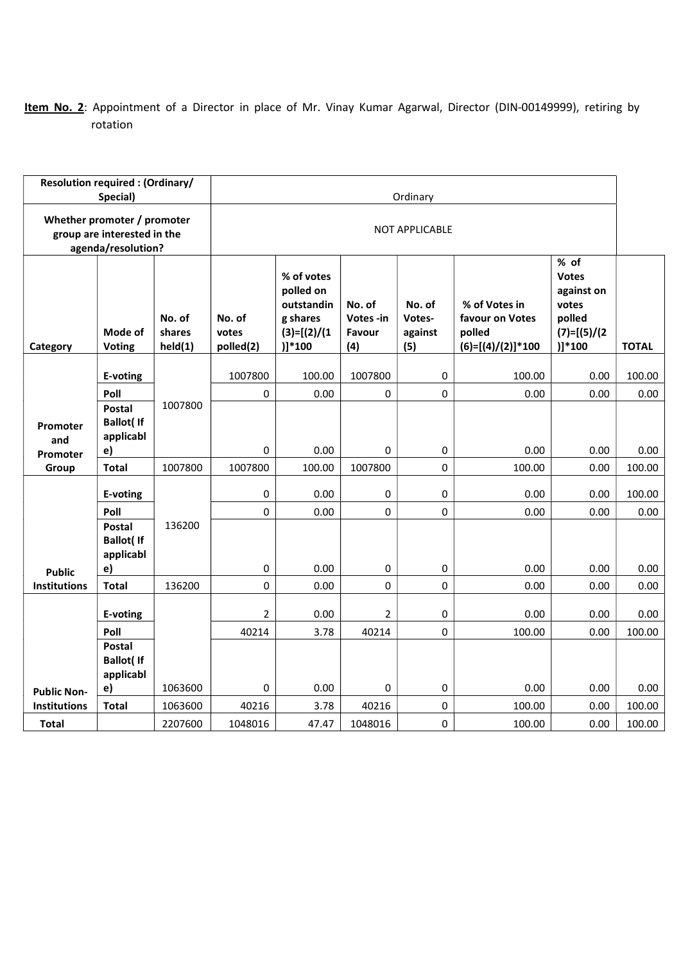## Item No. 2: Appointment of a Director in place of Mr. Vinay Kumar Agarwal, Director (DIN-00149999), retiring by rotation

| <b>Resolution required: (Ordinary/</b>                                           | Special)                                              |                             | Ordinary                     |                                                                                 |                                      |                                    |                                                                   |                                                                                     |              |
|----------------------------------------------------------------------------------|-------------------------------------------------------|-----------------------------|------------------------------|---------------------------------------------------------------------------------|--------------------------------------|------------------------------------|-------------------------------------------------------------------|-------------------------------------------------------------------------------------|--------------|
| Whether promoter / promoter<br>group are interested in the<br>agenda/resolution? |                                                       |                             | <b>NOT APPLICABLE</b>        |                                                                                 |                                      |                                    |                                                                   |                                                                                     |              |
| Category                                                                         | Mode of<br><b>Voting</b>                              | No. of<br>shares<br>held(1) | No. of<br>votes<br>polled(2) | % of votes<br>polled on<br>outstandin<br>g shares<br>$(3)=[(2)/(1)$<br>$)]*100$ | No. of<br>Votes -in<br>Favour<br>(4) | No. of<br>Votes-<br>against<br>(5) | % of Votes in<br>favour on Votes<br>polled<br>$(6)=[(4)/(2)]*100$ | % of<br><b>Votes</b><br>against on<br>votes<br>polled<br>$(7)=[(5)/(2)$<br>$)]*100$ | <b>TOTAL</b> |
|                                                                                  | E-voting                                              |                             | 1007800                      | 100.00                                                                          | 1007800                              | 0                                  | 100.00                                                            | 0.00                                                                                | 100.00       |
|                                                                                  | Poll                                                  |                             | $\pmb{0}$                    | 0.00                                                                            | 0                                    | 0                                  | 0.00                                                              | 0.00                                                                                | 0.00         |
| Promoter                                                                         | <b>Postal</b><br><b>Ballot(If</b><br>applicabl        | 1007800                     |                              |                                                                                 |                                      |                                    |                                                                   |                                                                                     |              |
| and<br>Promoter                                                                  | e)                                                    |                             | 0                            | 0.00                                                                            | $\Omega$                             | 0                                  | 0.00                                                              | 0.00                                                                                | 0.00         |
| Group                                                                            | <b>Total</b>                                          | 1007800                     | 1007800                      | 100.00                                                                          | 1007800                              | 0                                  | 100.00                                                            | 0.00                                                                                | 100.00       |
|                                                                                  | E-voting                                              |                             | 0                            | 0.00                                                                            | 0                                    | 0                                  | 0.00                                                              | 0.00                                                                                | 100.00       |
|                                                                                  | Poll                                                  |                             | 0                            | 0.00                                                                            | $\mathbf 0$                          | 0                                  | 0.00                                                              | 0.00                                                                                | 0.00         |
| <b>Public</b>                                                                    | <b>Postal</b><br><b>Ballot</b> (If<br>applicabl<br>e) | 136200                      | 0                            | 0.00                                                                            | 0                                    | 0                                  | 0.00                                                              | 0.00                                                                                | 0.00         |
| <b>Institutions</b>                                                              | <b>Total</b>                                          | 136200                      | $\pmb{0}$                    | 0.00                                                                            | 0                                    | 0                                  | 0.00                                                              | 0.00                                                                                | 0.00         |
|                                                                                  | E-voting                                              |                             | $\overline{2}$               | 0.00                                                                            | 2                                    | 0                                  | 0.00                                                              | 0.00                                                                                | 0.00         |
|                                                                                  | Poll                                                  |                             | 40214                        | 3.78                                                                            | 40214                                | 0                                  | 100.00                                                            | 0.00                                                                                | 100.00       |
|                                                                                  | <b>Postal</b><br><b>Ballot(If</b><br>applicabl        |                             |                              |                                                                                 |                                      |                                    |                                                                   |                                                                                     |              |
| <b>Public Non-</b>                                                               | e)                                                    | 1063600                     | 0                            | 0.00                                                                            | 0                                    | 0                                  | 0.00                                                              | 0.00                                                                                | 0.00         |
| <b>Institutions</b>                                                              | <b>Total</b>                                          | 1063600                     | 40216                        | 3.78                                                                            | 40216                                | 0                                  | 100.00                                                            | 0.00                                                                                | 100.00       |
| <b>Total</b>                                                                     |                                                       | 2207600                     | 1048016                      | 47.47                                                                           | 1048016                              | 0                                  | 100.00                                                            | 0.00                                                                                | 100.00       |